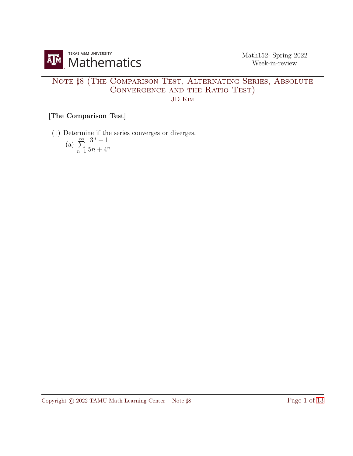

## NOTE  $\sharp 8$  (THE COMPARISON TEST, ALTERNATING SERIES, ABSOLUTE CONVERGENCE AND THE RATIO TEST) JD Kim

## [The Comparison Test]

(1) Determine if the series converges or diverges.

(a) 
$$
\sum_{n=1}^{\infty} \frac{3^n - 1}{5n + 4^n}
$$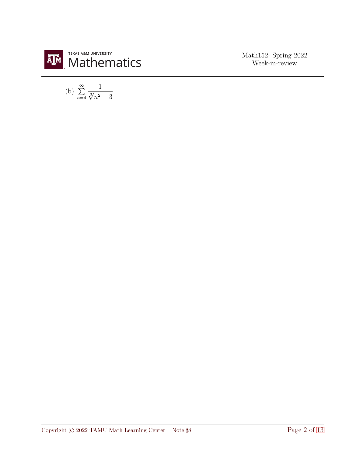

(b) 
$$
\sum_{n=4}^{\infty} \frac{1}{\sqrt[3]{n^2 - 3}}
$$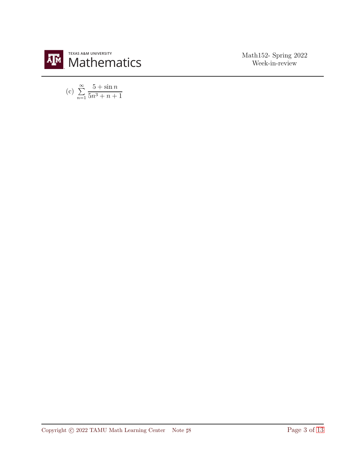

(c) 
$$
\sum_{n=1}^{\infty} \frac{5 + \sin n}{5n^3 + n + 1}
$$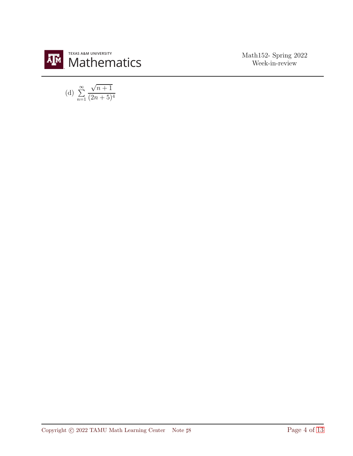

(d) 
$$
\sum_{n=1}^{\infty} \frac{\sqrt{n+1}}{(2n+5)^4}
$$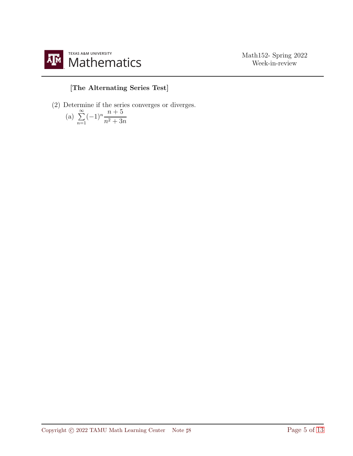

## [The Alternating Series Test]

(2) Determine if the series converges or diverges.

(a) 
$$
\sum_{n=1}^{\infty} (-1)^n \frac{n+5}{n^2+3n}
$$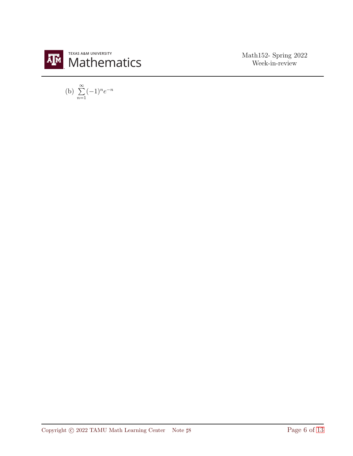

(b) 
$$
\sum_{n=1}^{\infty} (-1)^n e^{-n}
$$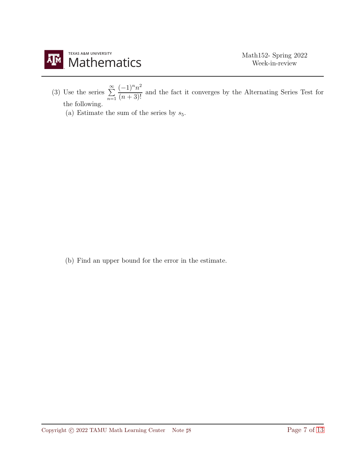

- (3) Use the series  $\sum_{n=1}^{\infty}$  $n=1$  $(-1)^n n^2$  $\frac{(n+1)(n+2)}{(n+3)!}$  and the fact it converges by the Alternating Series Test for the following.
	- (a) Estimate the sum of the series by  $s_5$ .

(b) Find an upper bound for the error in the estimate.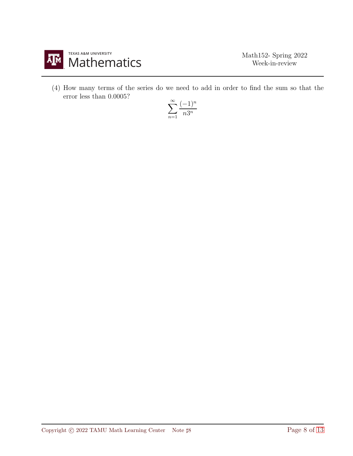

(4) How many terms of the series do we need to add in order to find the sum so that the error less than 0.0005?

$$
\sum_{n=1}^{\infty} \frac{(-1)^n}{n3^n}
$$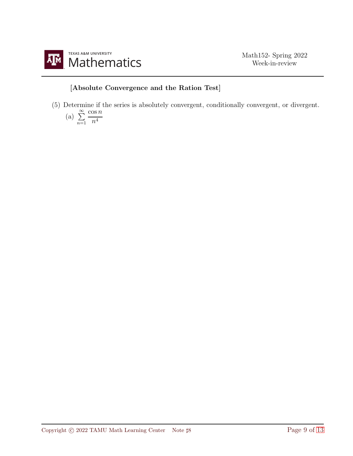

## [Absolute Convergence and the Ration Test]

(5) Determine if the series is absolutely convergent, conditionally convergent, or divergent.

(a) 
$$
\sum_{n=1}^{\infty} \frac{\cos n}{n^4}
$$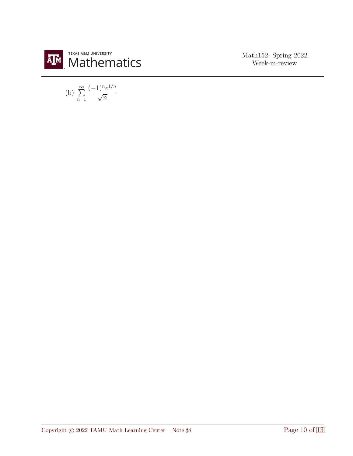

(b) 
$$
\sum_{n=1}^{\infty} \frac{(-1)^n e^{1/n}}{\sqrt{n}}
$$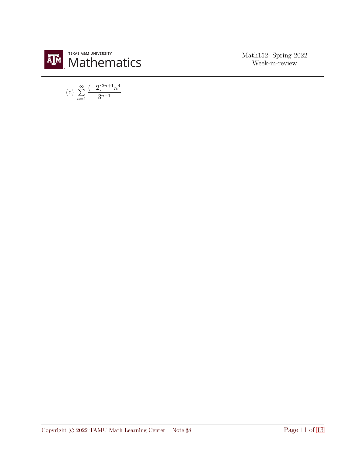

(c) 
$$
\sum_{n=1}^{\infty} \frac{(-2)^{2n+1} n^4}{3^{n-1}}
$$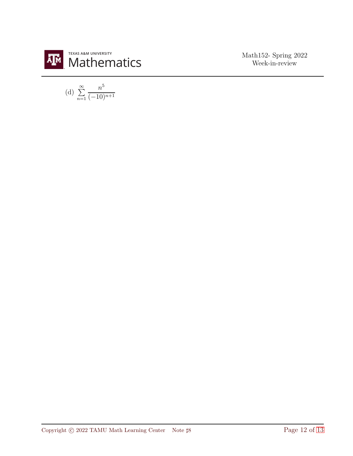

(d) 
$$
\sum_{n=1}^{\infty} \frac{n^5}{(-10)^{n+1}}
$$